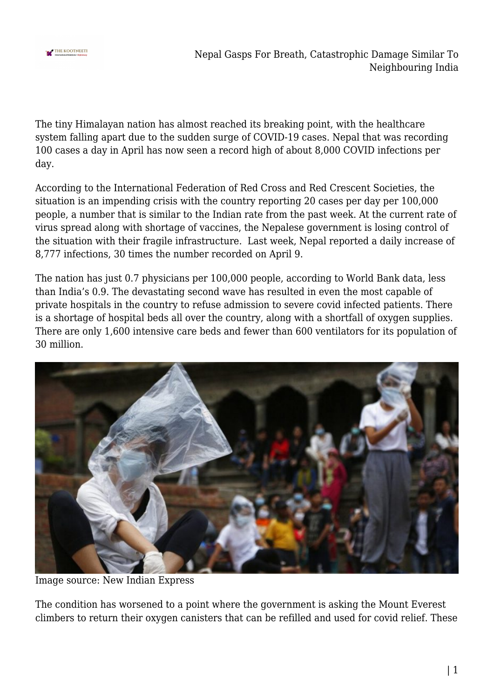

Nepal Gasps For Breath, Catastrophic Damage Similar To Neighbouring India

The tiny Himalayan nation has almost reached its breaking point, with the healthcare system falling apart due to the sudden surge of COVID-19 cases. Nepal that was recording 100 cases a day in April has now seen a record high of about 8,000 COVID infections per day.

According to the International Federation of Red Cross and Red Crescent Societies, the situation is an impending crisis with the country reporting 20 cases per day per 100,000 people, a number that is similar to the Indian rate from the past week. At the current rate of virus spread along with shortage of vaccines, the Nepalese government is losing control of the situation with their fragile infrastructure. Last week, Nepal reported a daily increase of 8,777 infections, 30 times the number recorded on April 9.

The nation has just 0.7 physicians per 100,000 people, according to World Bank data, less than India's 0.9. The devastating second wave has resulted in even the most capable of private hospitals in the country to refuse admission to severe covid infected patients. There is a shortage of hospital beds all over the country, along with a shortfall of oxygen supplies. There are only 1,600 intensive care beds and fewer than 600 ventilators for its population of 30 million.



Image source: New Indian Express

The condition has worsened to a point where the government is asking the Mount Everest climbers to return their oxygen canisters that can be refilled and used for covid relief. These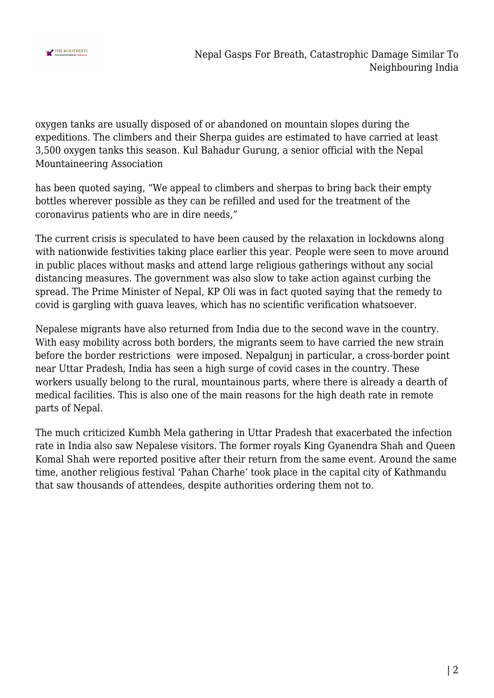

oxygen tanks are usually disposed of or abandoned on mountain slopes during the expeditions. The climbers and their Sherpa guides are estimated to have carried at least 3,500 oxygen tanks this season. Kul Bahadur Gurung, a senior official with the Nepal Mountaineering Association

has been quoted saying, "We appeal to climbers and sherpas to bring back their empty bottles wherever possible as they can be refilled and used for the treatment of the coronavirus patients who are in dire needs,"

The current crisis is speculated to have been caused by the relaxation in lockdowns along with nationwide festivities taking place earlier this year. People were seen to move around in public places without masks and attend large religious gatherings without any social distancing measures. The government was also slow to take action against curbing the spread. The Prime Minister of Nepal, KP Oli was in fact quoted saying that the remedy to covid is gargling with guava leaves, which has no scientific verification whatsoever.

Nepalese migrants have also returned from India due to the second wave in the country. With easy mobility across both borders, the migrants seem to have carried the new strain before the border restrictions were imposed. Nepalgunj in particular, a cross-border point near Uttar Pradesh, India has seen a high surge of covid cases in the country. These workers usually belong to the rural, mountainous parts, where there is already a dearth of medical facilities. This is also one of the main reasons for the high death rate in remote parts of Nepal.

The much criticized Kumbh Mela gathering in Uttar Pradesh that exacerbated the infection rate in India also saw Nepalese visitors. The former royals King Gyanendra Shah and Queen Komal Shah were reported positive after their return from the same event. Around the same time, another religious festival 'Pahan Charhe' took place in the capital city of Kathmandu that saw thousands of attendees, despite authorities ordering them not to.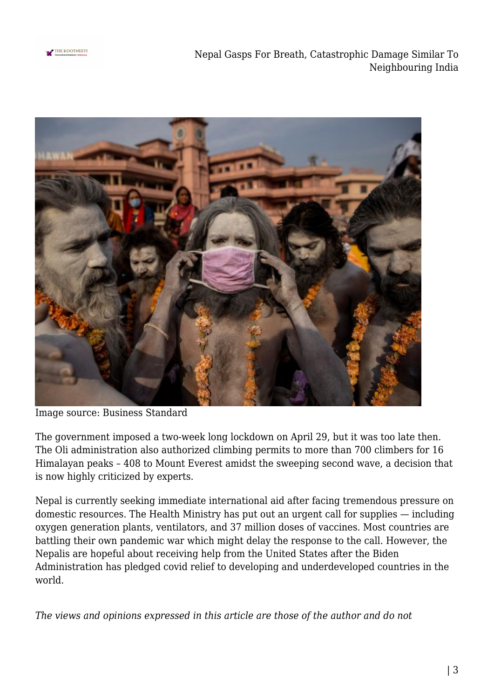

Nepal Gasps For Breath, Catastrophic Damage Similar To Neighbouring India



Image source: Business Standard

The government imposed a two-week long lockdown on April 29, but it was too late then. The Oli administration also authorized climbing permits to more than 700 climbers for 16 Himalayan peaks – 408 to Mount Everest amidst the sweeping second wave, a decision that is now highly criticized by experts.

Nepal is currently seeking immediate international aid after facing tremendous pressure on domestic resources. The Health Ministry has put out an urgent call for supplies — including oxygen generation plants, ventilators, and 37 million doses of vaccines. Most countries are battling their own pandemic war which might delay the response to the call. However, the Nepalis are hopeful about receiving help from the United States after the Biden Administration has pledged covid relief to developing and underdeveloped countries in the world.

*The views and opinions expressed in this article are those of the author and do not*